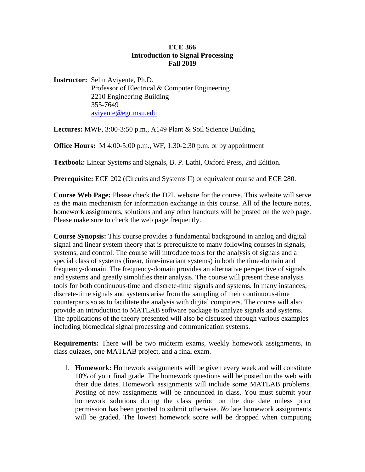### **ECE 366 Introduction to Signal Processing Fall 2019**

**Instructor:** Selin Aviyente, Ph.D. Professor of Electrical & Computer Engineering 2210 Engineering Building 355-7649 aviyente@egr.msu.edu

**Lectures:** MWF, 3:00-3:50 p.m., A149 Plant & Soil Science Building

**Office Hours:** M 4:00-5:00 p.m., WF, 1:30-2:30 p.m. or by appointment

**Textbook:** Linear Systems and Signals, B. P. Lathi, Oxford Press, 2nd Edition.

**Prerequisite:** ECE 202 (Circuits and Systems II) or equivalent course and ECE 280.

**Course Web Page:** Please check the D2L website for the course. This website will serve as the main mechanism for information exchange in this course. All of the lecture notes, homework assignments, solutions and any other handouts will be posted on the web page. Please make sure to check the web page frequently.

**Course Synopsis:** This course provides a fundamental background in analog and digital signal and linear system theory that is prerequisite to many following courses in signals, systems, and control. The course will introduce tools for the analysis of signals and a special class of systems (linear, time-invariant systems) in both the time-domain and frequency-domain. The frequency-domain provides an alternative perspective of signals and systems and greatly simplifies their analysis. The course will present these analysis tools for both continuous-time and discrete-time signals and systems. In many instances, discrete-time signals and systems arise from the sampling of their continuous-time counterparts so as to facilitate the analysis with digital computers. The course will also provide an introduction to MATLAB software package to analyze signals and systems. The applications of the theory presented will also be discussed through various examples including biomedical signal processing and communication systems.

**Requirements:** There will be two midterm exams, weekly homework assignments, in class quizzes, one MATLAB project, and a final exam.

1. **Homework:** Homework assignments will be given every week and will constitute 10% of your final grade. The homework questions will be posted on the web with their due dates. Homework assignments will include some MATLAB problems. Posting of new assignments will be announced in class. You must submit your homework solutions during the class period on the due date unless prior permission has been granted to submit otherwise. *No* late homework assignments will be graded. The lowest homework score will be dropped when computing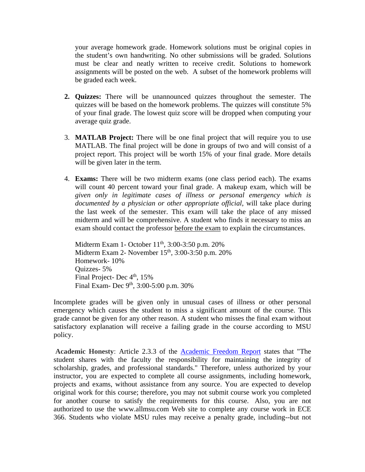your average homework grade. Homework solutions must be original copies in the student's own handwriting. No other submissions will be graded. Solutions must be clear and neatly written to receive credit. Solutions to homework assignments will be posted on the web. A subset of the homework problems will be graded each week.

- **2. Quizzes:** There will be unannounced quizzes throughout the semester. The quizzes will be based on the homework problems. The quizzes will constitute 5% of your final grade. The lowest quiz score will be dropped when computing your average quiz grade.
- 3. **MATLAB Project:** There will be one final project that will require you to use MATLAB. The final project will be done in groups of two and will consist of a project report. This project will be worth 15% of your final grade. More details will be given later in the term.
- 4. **Exams:** There will be two midterm exams (one class period each). The exams will count 40 percent toward your final grade. A makeup exam, which will be *given only in legitimate cases of illness or personal emergency which is documented by a physician or other appropriate official*, will take place during the last week of the semester. This exam will take the place of any missed midterm and will be comprehensive. A student who finds it necessary to miss an exam should contact the professor before the exam to explain the circumstances.

Midterm Exam 1- October 11<sup>th</sup>, 3:00-3:50 p.m. 20% Midterm Exam 2- November 15<sup>th</sup>, 3:00-3:50 p.m. 20% Homework- 10% Quizzes- 5% Final Project- Dec 4<sup>th</sup>, 15% Final Exam- Dec 9<sup>th</sup>, 3:00-5:00 p.m. 30%

Incomplete grades will be given only in unusual cases of illness or other personal emergency which causes the student to miss a significant amount of the course. This grade cannot be given for any other reason. A student who misses the final exam without satisfactory explanation will receive a failing grade in the course according to MSU policy.

**Academic Honesty**: Article 2.3.3 of the Academic Freedom Report states that "The student shares with the faculty the responsibility for maintaining the integrity of scholarship, grades, and professional standards." Therefore, unless authorized by your instructor, you are expected to complete all course assignments, including homework, projects and exams, without assistance from any source. You are expected to develop original work for this course; therefore, you may not submit course work you completed for another course to satisfy the requirements for this course. Also, you are not authorized to use the www.allmsu.com Web site to complete any course work in ECE 366. Students who violate MSU rules may receive a penalty grade, including--but not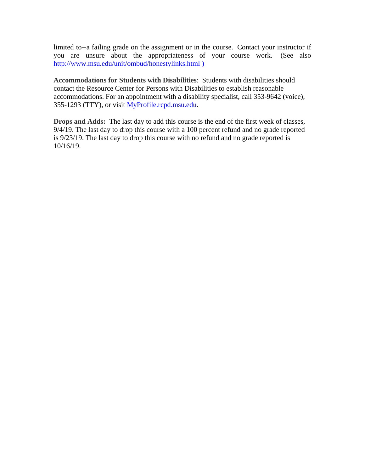limited to--a failing grade on the assignment or in the course. Contact your instructor if you are unsure about the appropriateness of your course work. (See also http://www.msu.edu/unit/ombud/honestylinks.html )

**Accommodations for Students with Disabilities**: Students with disabilities should contact the Resource Center for Persons with Disabilities to establish reasonable accommodations. For an appointment with a disability specialist, call 353-9642 (voice), 355-1293 (TTY), or visit MyProfile.rcpd.msu.edu.

**Drops and Adds:** The last day to add this course is the end of the first week of classes, 9/4/19. The last day to drop this course with a 100 percent refund and no grade reported is 9/23/19. The last day to drop this course with no refund and no grade reported is 10/16/19.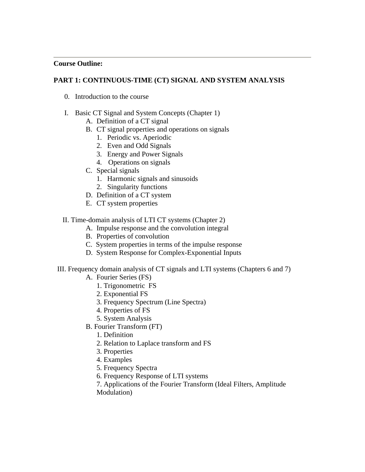#### **Course Outline:**

# **PART 1: CONTINUOUS-TIME (CT) SIGNAL AND SYSTEM ANALYSIS**

- 0. Introduction to the course
- I. Basic CT Signal and System Concepts (Chapter 1)
	- A. Definition of a CT signal
	- B. CT signal properties and operations on signals
		- 1. Periodic vs. Aperiodic
		- 2. Even and Odd Signals
		- 3. Energy and Power Signals
		- 4. Operations on signals
	- C. Special signals
		- 1. Harmonic signals and sinusoids
		- 2. Singularity functions
	- D. Definition of a CT system
	- E. CT system properties

#### II. Time-domain analysis of LTI CT systems (Chapter 2)

- A. Impulse response and the convolution integral
- B. Properties of convolution
- C. System properties in terms of the impulse response
- D. System Response for Complex-Exponential Inputs
- III. Frequency domain analysis of CT signals and LTI systems (Chapters 6 and 7)
	- A. Fourier Series (FS)
		- 1. Trigonometric FS
		- 2. Exponential FS
		- 3. Frequency Spectrum (Line Spectra)
		- 4. Properties of FS
		- 5. System Analysis
	- B. Fourier Transform (FT)
		- 1. Definition
		- 2. Relation to Laplace transform and FS
		- 3. Properties
		- 4. Examples
		- 5. Frequency Spectra
		- 6. Frequency Response of LTI systems
		- 7. Applications of the Fourier Transform (Ideal Filters, Amplitude Modulation)